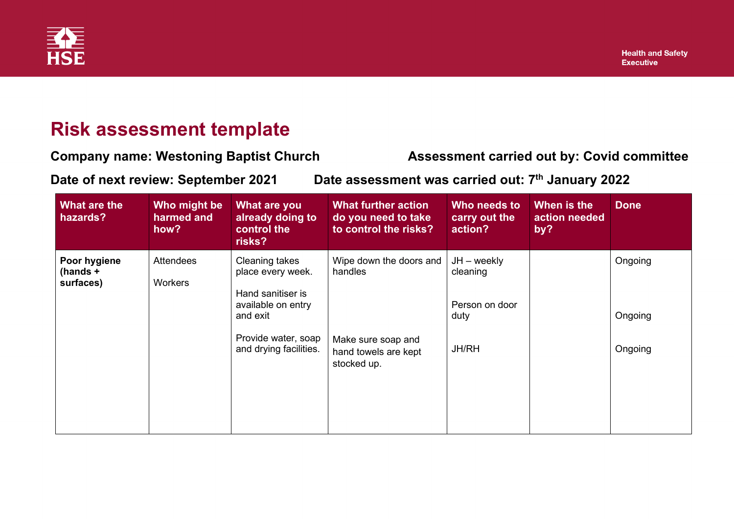

## **Risk assessment template**

**Company name: Westoning Baptist Church Metally Assessment carried out by: Covid committee** 

**Date of next review: September 2021 Date assessment was carried out: 7th January 2022**

| What are the<br>hazards?                | Who might be<br>harmed and<br>how? | What are you<br>already doing to<br>control the<br>risks?                                                                | <b>What further action</b><br>do you need to take<br>to control the risks? | Who needs to<br>carry out the<br>action?            | When is the<br>action needed<br>by? | <b>Done</b>        |
|-----------------------------------------|------------------------------------|--------------------------------------------------------------------------------------------------------------------------|----------------------------------------------------------------------------|-----------------------------------------------------|-------------------------------------|--------------------|
| Poor hygiene<br>(hands $+$<br>surfaces) | <b>Attendees</b><br><b>Workers</b> | <b>Cleaning takes</b><br>place every week.<br>Hand sanitiser is<br>available on entry<br>and exit<br>Provide water, soap | Wipe down the doors and<br>handles<br>Make sure soap and                   | $JH - weekly$<br>cleaning<br>Person on door<br>duty |                                     | Ongoing<br>Ongoing |
|                                         |                                    | and drying facilities.                                                                                                   | hand towels are kept<br>stocked up.                                        | <b>JH/RH</b>                                        |                                     | Ongoing            |